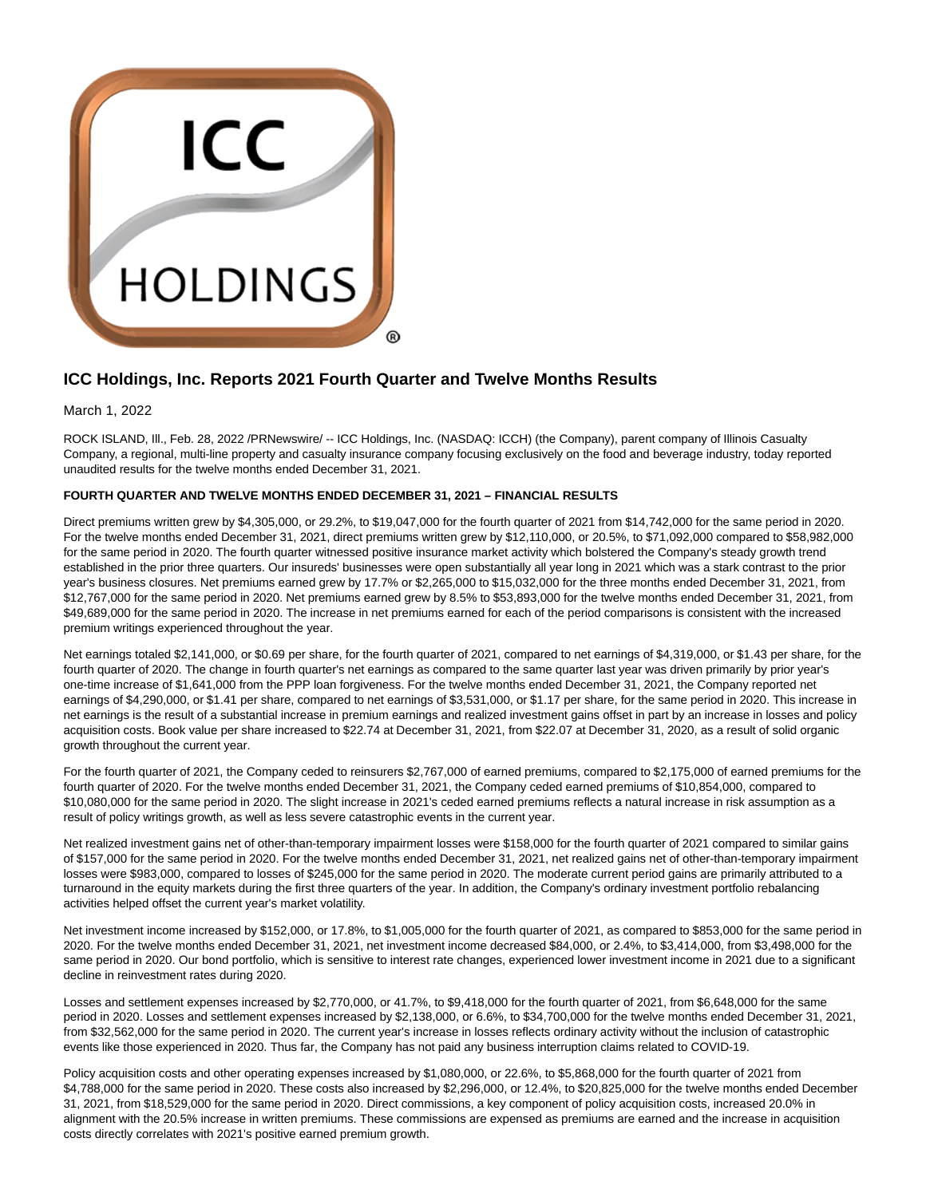

# **ICC Holdings, Inc. Reports 2021 Fourth Quarter and Twelve Months Results**

March 1, 2022

ROCK ISLAND, Ill., Feb. 28, 2022 /PRNewswire/ -- ICC Holdings, Inc. (NASDAQ: ICCH) (the Company), parent company of Illinois Casualty Company, a regional, multi-line property and casualty insurance company focusing exclusively on the food and beverage industry, today reported unaudited results for the twelve months ended December 31, 2021.

# **FOURTH QUARTER AND TWELVE MONTHS ENDED DECEMBER 31, 2021 – FINANCIAL RESULTS**

Direct premiums written grew by \$4,305,000, or 29.2%, to \$19,047,000 for the fourth quarter of 2021 from \$14,742,000 for the same period in 2020. For the twelve months ended December 31, 2021, direct premiums written grew by \$12,110,000, or 20.5%, to \$71,092,000 compared to \$58,982,000 for the same period in 2020. The fourth quarter witnessed positive insurance market activity which bolstered the Company's steady growth trend established in the prior three quarters. Our insureds' businesses were open substantially all year long in 2021 which was a stark contrast to the prior year's business closures. Net premiums earned grew by 17.7% or \$2,265,000 to \$15,032,000 for the three months ended December 31, 2021, from \$12,767,000 for the same period in 2020. Net premiums earned grew by 8.5% to \$53,893,000 for the twelve months ended December 31, 2021, from \$49,689,000 for the same period in 2020. The increase in net premiums earned for each of the period comparisons is consistent with the increased premium writings experienced throughout the year.

Net earnings totaled \$2,141,000, or \$0.69 per share, for the fourth quarter of 2021, compared to net earnings of \$4,319,000, or \$1.43 per share, for the fourth quarter of 2020. The change in fourth quarter's net earnings as compared to the same quarter last year was driven primarily by prior year's one-time increase of \$1,641,000 from the PPP loan forgiveness. For the twelve months ended December 31, 2021, the Company reported net earnings of \$4,290,000, or \$1.41 per share, compared to net earnings of \$3,531,000, or \$1.17 per share, for the same period in 2020. This increase in net earnings is the result of a substantial increase in premium earnings and realized investment gains offset in part by an increase in losses and policy acquisition costs. Book value per share increased to \$22.74 at December 31, 2021, from \$22.07 at December 31, 2020, as a result of solid organic growth throughout the current year.

For the fourth quarter of 2021, the Company ceded to reinsurers \$2,767,000 of earned premiums, compared to \$2,175,000 of earned premiums for the fourth quarter of 2020. For the twelve months ended December 31, 2021, the Company ceded earned premiums of \$10,854,000, compared to \$10,080,000 for the same period in 2020. The slight increase in 2021's ceded earned premiums reflects a natural increase in risk assumption as a result of policy writings growth, as well as less severe catastrophic events in the current year.

Net realized investment gains net of other-than-temporary impairment losses were \$158,000 for the fourth quarter of 2021 compared to similar gains of \$157,000 for the same period in 2020. For the twelve months ended December 31, 2021, net realized gains net of other-than-temporary impairment losses were \$983,000, compared to losses of \$245,000 for the same period in 2020. The moderate current period gains are primarily attributed to a turnaround in the equity markets during the first three quarters of the year. In addition, the Company's ordinary investment portfolio rebalancing activities helped offset the current year's market volatility.

Net investment income increased by \$152,000, or 17.8%, to \$1,005,000 for the fourth quarter of 2021, as compared to \$853,000 for the same period in 2020. For the twelve months ended December 31, 2021, net investment income decreased \$84,000, or 2.4%, to \$3,414,000, from \$3,498,000 for the same period in 2020. Our bond portfolio, which is sensitive to interest rate changes, experienced lower investment income in 2021 due to a significant decline in reinvestment rates during 2020.

Losses and settlement expenses increased by \$2,770,000, or 41.7%, to \$9,418,000 for the fourth quarter of 2021, from \$6,648,000 for the same period in 2020. Losses and settlement expenses increased by \$2,138,000, or 6.6%, to \$34,700,000 for the twelve months ended December 31, 2021, from \$32,562,000 for the same period in 2020. The current year's increase in losses reflects ordinary activity without the inclusion of catastrophic events like those experienced in 2020. Thus far, the Company has not paid any business interruption claims related to COVID-19.

Policy acquisition costs and other operating expenses increased by \$1,080,000, or 22.6%, to \$5,868,000 for the fourth quarter of 2021 from \$4,788,000 for the same period in 2020. These costs also increased by \$2,296,000, or 12.4%, to \$20,825,000 for the twelve months ended December 31, 2021, from \$18,529,000 for the same period in 2020. Direct commissions, a key component of policy acquisition costs, increased 20.0% in alignment with the 20.5% increase in written premiums. These commissions are expensed as premiums are earned and the increase in acquisition costs directly correlates with 2021's positive earned premium growth.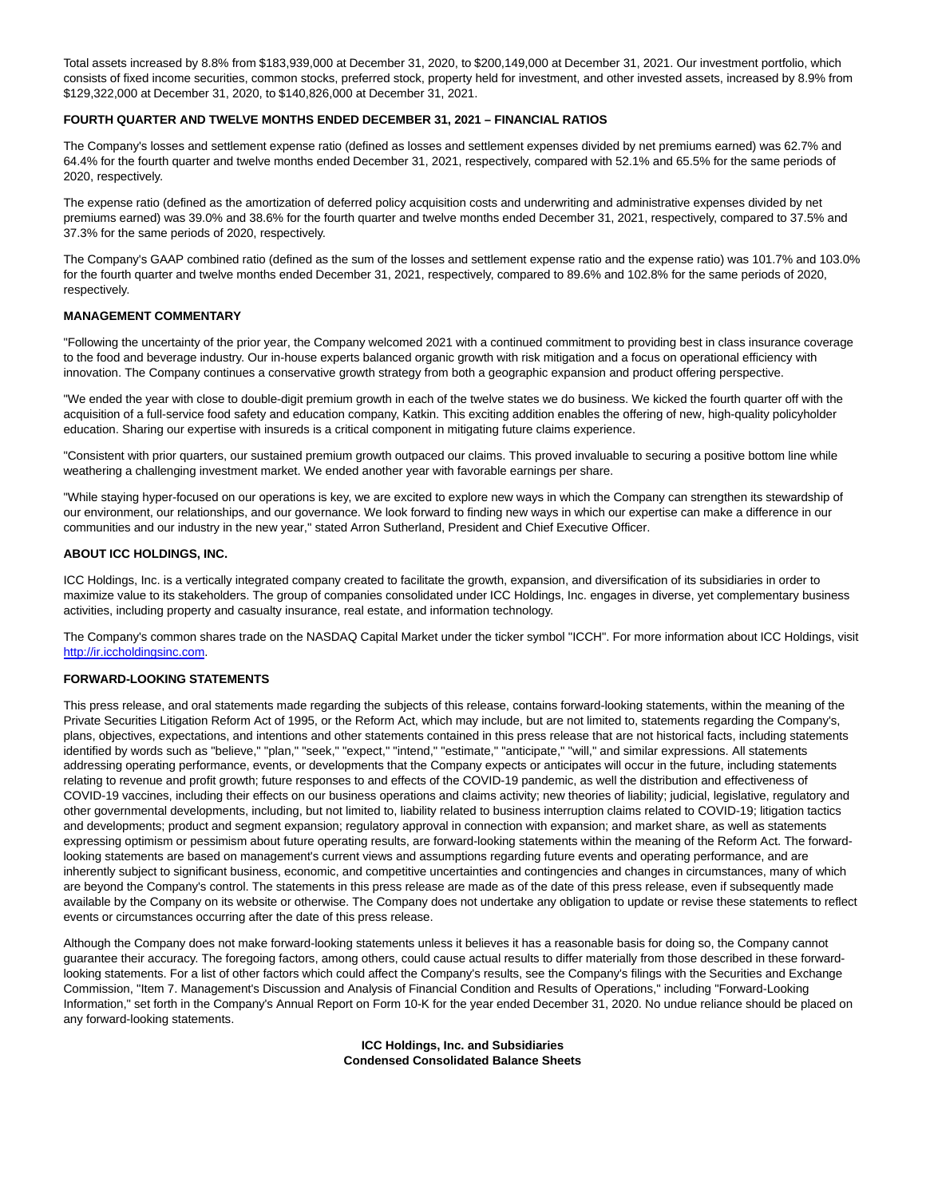Total assets increased by 8.8% from \$183,939,000 at December 31, 2020, to \$200,149,000 at December 31, 2021. Our investment portfolio, which consists of fixed income securities, common stocks, preferred stock, property held for investment, and other invested assets, increased by 8.9% from \$129,322,000 at December 31, 2020, to \$140,826,000 at December 31, 2021.

# **FOURTH QUARTER AND TWELVE MONTHS ENDED DECEMBER 31, 2021 – FINANCIAL RATIOS**

The Company's losses and settlement expense ratio (defined as losses and settlement expenses divided by net premiums earned) was 62.7% and 64.4% for the fourth quarter and twelve months ended December 31, 2021, respectively, compared with 52.1% and 65.5% for the same periods of 2020, respectively.

The expense ratio (defined as the amortization of deferred policy acquisition costs and underwriting and administrative expenses divided by net premiums earned) was 39.0% and 38.6% for the fourth quarter and twelve months ended December 31, 2021, respectively, compared to 37.5% and 37.3% for the same periods of 2020, respectively.

The Company's GAAP combined ratio (defined as the sum of the losses and settlement expense ratio and the expense ratio) was 101.7% and 103.0% for the fourth quarter and twelve months ended December 31, 2021, respectively, compared to 89.6% and 102.8% for the same periods of 2020, respectively.

# **MANAGEMENT COMMENTARY**

"Following the uncertainty of the prior year, the Company welcomed 2021 with a continued commitment to providing best in class insurance coverage to the food and beverage industry. Our in-house experts balanced organic growth with risk mitigation and a focus on operational efficiency with innovation. The Company continues a conservative growth strategy from both a geographic expansion and product offering perspective.

"We ended the year with close to double-digit premium growth in each of the twelve states we do business. We kicked the fourth quarter off with the acquisition of a full-service food safety and education company, Katkin. This exciting addition enables the offering of new, high-quality policyholder education. Sharing our expertise with insureds is a critical component in mitigating future claims experience.

"Consistent with prior quarters, our sustained premium growth outpaced our claims. This proved invaluable to securing a positive bottom line while weathering a challenging investment market. We ended another year with favorable earnings per share.

"While staying hyper-focused on our operations is key, we are excited to explore new ways in which the Company can strengthen its stewardship of our environment, our relationships, and our governance. We look forward to finding new ways in which our expertise can make a difference in our communities and our industry in the new year," stated Arron Sutherland, President and Chief Executive Officer.

### **ABOUT ICC HOLDINGS, INC.**

ICC Holdings, Inc. is a vertically integrated company created to facilitate the growth, expansion, and diversification of its subsidiaries in order to maximize value to its stakeholders. The group of companies consolidated under ICC Holdings, Inc. engages in diverse, yet complementary business activities, including property and casualty insurance, real estate, and information technology.

The Company's common shares trade on the NASDAQ Capital Market under the ticker symbol "ICCH". For more information about ICC Holdings, visit [http://ir.iccholdingsinc.com.](https://c212.net/c/link/?t=0&l=en&o=3458229-1&h=2351771497&u=http%3A%2F%2Fir.iccholdingsinc.com%2F&a=http%3A%2F%2Fir.iccholdingsinc.com)

# **FORWARD-LOOKING STATEMENTS**

This press release, and oral statements made regarding the subjects of this release, contains forward-looking statements, within the meaning of the Private Securities Litigation Reform Act of 1995, or the Reform Act, which may include, but are not limited to, statements regarding the Company's, plans, objectives, expectations, and intentions and other statements contained in this press release that are not historical facts, including statements identified by words such as "believe," "plan," "seek," "expect," "intend," "estimate," "anticipate," "will," and similar expressions. All statements addressing operating performance, events, or developments that the Company expects or anticipates will occur in the future, including statements relating to revenue and profit growth; future responses to and effects of the COVID-19 pandemic, as well the distribution and effectiveness of COVID-19 vaccines, including their effects on our business operations and claims activity; new theories of liability; judicial, legislative, regulatory and other governmental developments, including, but not limited to, liability related to business interruption claims related to COVID-19; litigation tactics and developments; product and segment expansion; regulatory approval in connection with expansion; and market share, as well as statements expressing optimism or pessimism about future operating results, are forward-looking statements within the meaning of the Reform Act. The forwardlooking statements are based on management's current views and assumptions regarding future events and operating performance, and are inherently subject to significant business, economic, and competitive uncertainties and contingencies and changes in circumstances, many of which are beyond the Company's control. The statements in this press release are made as of the date of this press release, even if subsequently made available by the Company on its website or otherwise. The Company does not undertake any obligation to update or revise these statements to reflect events or circumstances occurring after the date of this press release.

Although the Company does not make forward-looking statements unless it believes it has a reasonable basis for doing so, the Company cannot guarantee their accuracy. The foregoing factors, among others, could cause actual results to differ materially from those described in these forwardlooking statements. For a list of other factors which could affect the Company's results, see the Company's filings with the Securities and Exchange Commission, "Item 7. Management's Discussion and Analysis of Financial Condition and Results of Operations," including "Forward-Looking Information," set forth in the Company's Annual Report on Form 10-K for the year ended December 31, 2020. No undue reliance should be placed on any forward-looking statements.

> **ICC Holdings, Inc. and Subsidiaries Condensed Consolidated Balance Sheets**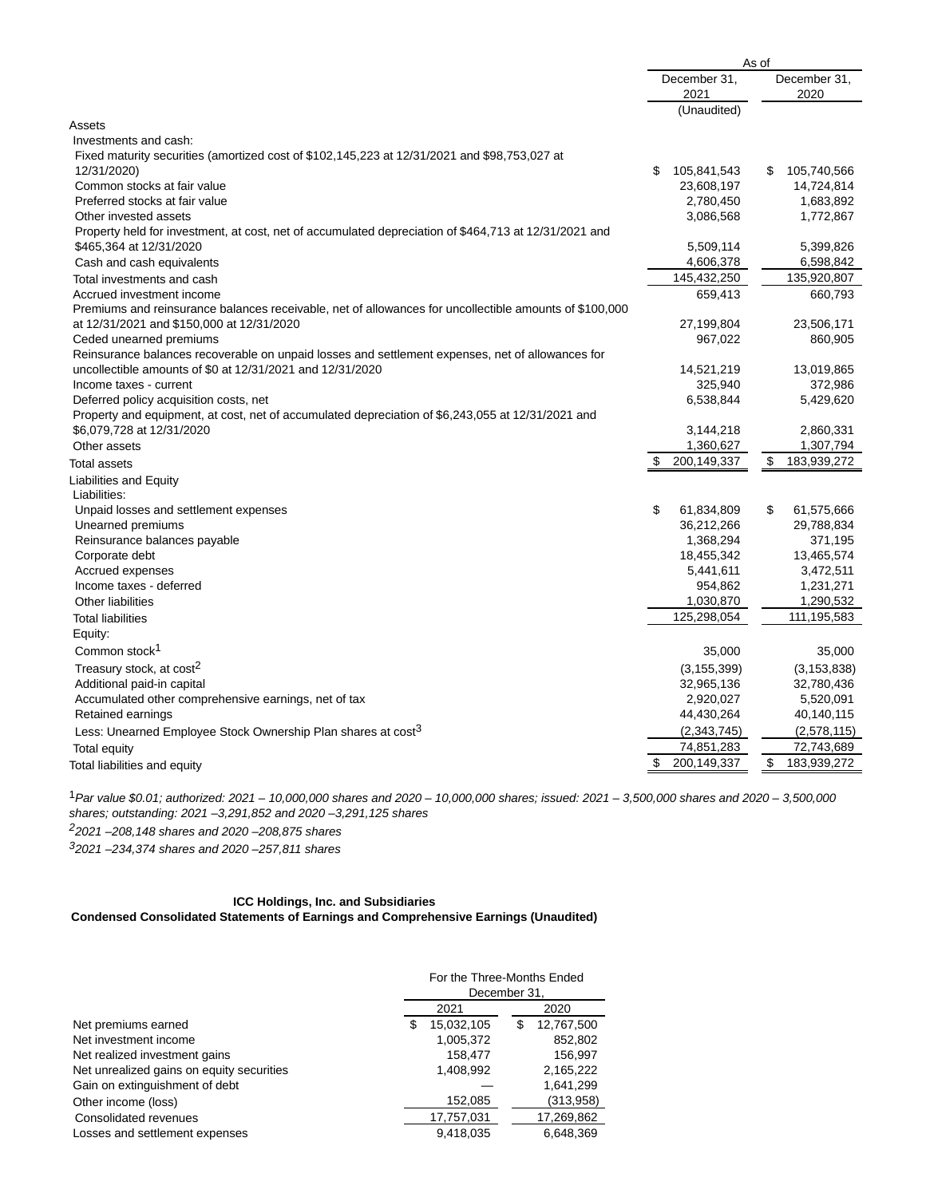|                                                                                                                                  | As of                |               |                      |               |
|----------------------------------------------------------------------------------------------------------------------------------|----------------------|---------------|----------------------|---------------|
|                                                                                                                                  | December 31,<br>2021 |               | December 31,<br>2020 |               |
|                                                                                                                                  |                      | (Unaudited)   |                      |               |
| Assets                                                                                                                           |                      |               |                      |               |
| Investments and cash:                                                                                                            |                      |               |                      |               |
| Fixed maturity securities (amortized cost of \$102,145,223 at 12/31/2021 and \$98,753,027 at                                     |                      |               |                      |               |
| 12/31/2020)                                                                                                                      | \$                   | 105,841,543   | S                    | 105,740,566   |
| Common stocks at fair value                                                                                                      |                      | 23,608,197    |                      | 14,724,814    |
| Preferred stocks at fair value                                                                                                   |                      | 2,780,450     |                      | 1,683,892     |
| Other invested assets                                                                                                            |                      | 3,086,568     |                      | 1,772,867     |
| Property held for investment, at cost, net of accumulated depreciation of \$464,713 at 12/31/2021 and<br>\$465,364 at 12/31/2020 |                      | 5,509,114     |                      | 5,399,826     |
| Cash and cash equivalents                                                                                                        |                      | 4,606,378     |                      | 6,598,842     |
| Total investments and cash                                                                                                       |                      | 145,432,250   |                      | 135,920,807   |
| Accrued investment income                                                                                                        |                      | 659,413       |                      | 660,793       |
| Premiums and reinsurance balances receivable, net of allowances for uncollectible amounts of \$100,000                           |                      |               |                      |               |
| at 12/31/2021 and \$150,000 at 12/31/2020                                                                                        |                      | 27,199,804    |                      | 23,506,171    |
| Ceded unearned premiums                                                                                                          |                      | 967,022       |                      | 860,905       |
| Reinsurance balances recoverable on unpaid losses and settlement expenses, net of allowances for                                 |                      |               |                      |               |
| uncollectible amounts of \$0 at 12/31/2021 and 12/31/2020                                                                        |                      | 14,521,219    |                      | 13,019,865    |
| Income taxes - current                                                                                                           |                      | 325,940       |                      | 372,986       |
| Deferred policy acquisition costs, net                                                                                           |                      | 6,538,844     |                      | 5,429,620     |
| Property and equipment, at cost, net of accumulated depreciation of \$6,243,055 at 12/31/2021 and                                |                      |               |                      |               |
| \$6,079,728 at 12/31/2020                                                                                                        |                      | 3,144,218     |                      | 2,860,331     |
| Other assets                                                                                                                     |                      | 1,360,627     |                      | 1,307,794     |
| Total assets                                                                                                                     | \$                   | 200,149,337   | \$                   | 183,939,272   |
| <b>Liabilities and Equity</b>                                                                                                    |                      |               |                      |               |
| Liabilities:                                                                                                                     |                      |               |                      |               |
| Unpaid losses and settlement expenses                                                                                            | \$                   | 61,834,809    | \$                   | 61,575,666    |
| Unearned premiums                                                                                                                |                      | 36,212,266    |                      | 29,788,834    |
| Reinsurance balances payable                                                                                                     |                      | 1,368,294     |                      | 371,195       |
| Corporate debt                                                                                                                   |                      | 18,455,342    |                      | 13,465,574    |
| Accrued expenses                                                                                                                 |                      | 5,441,611     |                      | 3,472,511     |
| Income taxes - deferred                                                                                                          |                      | 954,862       |                      | 1,231,271     |
| Other liabilities                                                                                                                |                      | 1,030,870     |                      | 1,290,532     |
| <b>Total liabilities</b>                                                                                                         |                      | 125,298,054   |                      | 111,195,583   |
| Equity:                                                                                                                          |                      |               |                      |               |
| Common stock <sup>1</sup>                                                                                                        |                      | 35,000        |                      | 35,000        |
| Treasury stock, at cost <sup>2</sup>                                                                                             |                      | (3, 155, 399) |                      | (3, 153, 838) |
| Additional paid-in capital                                                                                                       |                      | 32,965,136    |                      | 32,780,436    |
| Accumulated other comprehensive earnings, net of tax                                                                             |                      | 2,920,027     |                      | 5,520,091     |
| Retained earnings                                                                                                                |                      | 44,430,264    |                      | 40,140,115    |
| Less: Unearned Employee Stock Ownership Plan shares at cost <sup>3</sup>                                                         |                      | (2,343,745)   |                      | (2,578,115)   |
| Total equity                                                                                                                     |                      | 74,851,283    |                      | 72,743,689    |
| Total liabilities and equity                                                                                                     | \$                   | 200,149,337   | \$                   | 183,939,272   |

1Par value \$0.01; authorized: 2021 – 10,000,000 shares and 2020 – 10,000,000 shares; issued: 2021 – 3,500,000 shares and 2020 – 3,500,000 shares; outstanding: 2021 –3,291,852 and 2020 –3,291,125 shares 22021 –208,148 shares and 2020 –208,875 shares

32021 –234,374 shares and 2020 –257,811 shares

# **ICC Holdings, Inc. and Subsidiaries Condensed Consolidated Statements of Earnings and Comprehensive Earnings (Unaudited)**

|                                           | For the Three-Months Ended<br>December 31. |     |            |  |  |
|-------------------------------------------|--------------------------------------------|-----|------------|--|--|
|                                           | 2021                                       |     | 2020       |  |  |
| Net premiums earned                       | \$<br>15,032,105                           | \$. | 12,767,500 |  |  |
| Net investment income                     | 1,005,372                                  |     | 852,802    |  |  |
| Net realized investment gains             | 158.477                                    |     | 156.997    |  |  |
| Net unrealized gains on equity securities | 1,408,992                                  |     | 2,165,222  |  |  |
| Gain on extinguishment of debt            |                                            |     | 1,641,299  |  |  |
| Other income (loss)                       | 152,085                                    |     | (313,958)  |  |  |
| Consolidated revenues                     | 17,757,031                                 |     | 17,269,862 |  |  |
| Losses and settlement expenses            | 9.418.035                                  |     | 6.648.369  |  |  |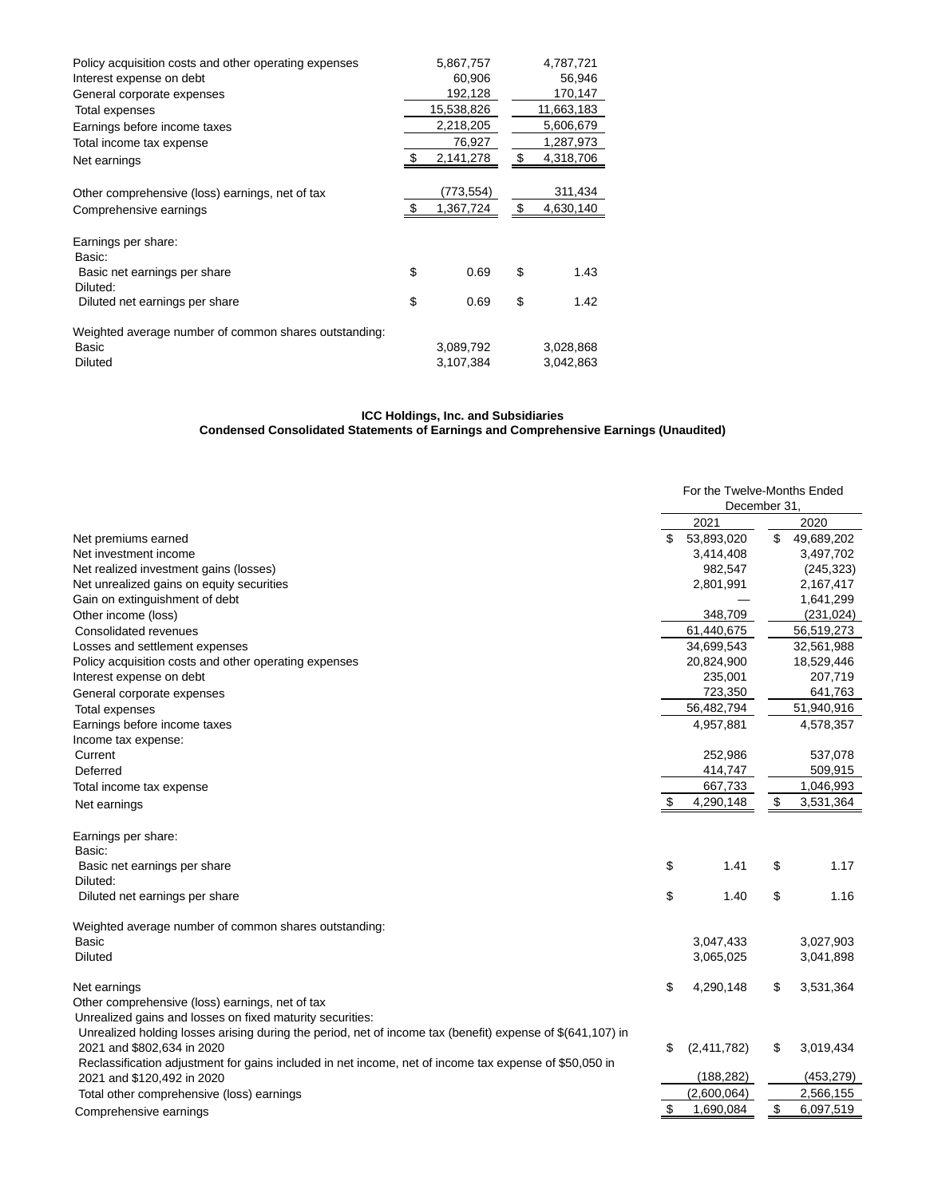| Policy acquisition costs and other operating expenses | 5,867,757              | 4,787,721              |
|-------------------------------------------------------|------------------------|------------------------|
| Interest expense on debt                              | 60,906                 | 56,946                 |
| General corporate expenses                            | 192,128                | 170,147                |
| Total expenses                                        | 15,538,826             | 11,663,183             |
| Earnings before income taxes                          | 2,218,205              | 5,606,679              |
| Total income tax expense                              | 76,927                 | 1,287,973              |
| Net earnings                                          | 2,141,278              | \$<br>4,318,706        |
|                                                       |                        |                        |
| Other comprehensive (loss) earnings, net of tax       | (773,554)              | 311,434                |
| Comprehensive earnings                                | 1,367,724              | \$<br>4,630,140        |
|                                                       |                        |                        |
|                                                       |                        |                        |
| Earnings per share:                                   |                        |                        |
| Basic:                                                |                        |                        |
| Basic net earnings per share                          | \$<br>0.69             | \$<br>1.43             |
| Diluted:                                              |                        |                        |
| Diluted net earnings per share                        | \$<br>0.69             | \$<br>1.42             |
|                                                       |                        |                        |
| Weighted average number of common shares outstanding: |                        |                        |
| Basic<br><b>Diluted</b>                               | 3,089,792<br>3,107,384 | 3,028,868<br>3,042,863 |

#### **ICC Holdings, Inc. and Subsidiaries Condensed Consolidated Statements of Earnings and Comprehensive Earnings (Unaudited)**

|                                                                                                            | For the Twelve-Months Ended<br>December 31, |             |    |            |
|------------------------------------------------------------------------------------------------------------|---------------------------------------------|-------------|----|------------|
|                                                                                                            |                                             | 2021        |    | 2020       |
| Net premiums earned                                                                                        | \$                                          | 53,893,020  | \$ | 49,689,202 |
| Net investment income                                                                                      |                                             | 3,414,408   |    | 3,497,702  |
| Net realized investment gains (losses)                                                                     |                                             | 982,547     |    | (245, 323) |
| Net unrealized gains on equity securities                                                                  |                                             | 2,801,991   |    | 2,167,417  |
| Gain on extinguishment of debt                                                                             |                                             |             |    | 1,641,299  |
| Other income (loss)                                                                                        |                                             | 348,709     |    | (231, 024) |
| Consolidated revenues                                                                                      |                                             | 61,440,675  |    | 56,519,273 |
| Losses and settlement expenses                                                                             |                                             | 34,699,543  |    | 32,561,988 |
| Policy acquisition costs and other operating expenses                                                      |                                             | 20,824,900  |    | 18,529,446 |
| Interest expense on debt                                                                                   |                                             | 235,001     |    | 207,719    |
| General corporate expenses                                                                                 |                                             | 723,350     |    | 641,763    |
| Total expenses                                                                                             |                                             | 56,482,794  |    | 51,940,916 |
| Earnings before income taxes                                                                               |                                             | 4,957,881   |    | 4,578,357  |
| Income tax expense:                                                                                        |                                             |             |    |            |
| Current                                                                                                    |                                             | 252,986     |    | 537,078    |
| Deferred                                                                                                   |                                             | 414,747     |    | 509,915    |
| Total income tax expense                                                                                   |                                             | 667,733     |    | 1,046,993  |
| Net earnings                                                                                               | \$                                          | 4,290,148   | \$ | 3,531,364  |
| Earnings per share:                                                                                        |                                             |             |    |            |
| Basic:                                                                                                     |                                             |             |    |            |
| Basic net earnings per share                                                                               | \$                                          | 1.41        | \$ | 1.17       |
| Diluted:                                                                                                   |                                             |             |    |            |
| Diluted net earnings per share                                                                             | \$                                          | 1.40        | \$ | 1.16       |
| Weighted average number of common shares outstanding:                                                      |                                             |             |    |            |
| Basic                                                                                                      |                                             | 3,047,433   |    | 3,027,903  |
| <b>Diluted</b>                                                                                             |                                             | 3,065,025   |    | 3,041,898  |
| Net earnings                                                                                               | \$                                          | 4,290,148   | \$ | 3,531,364  |
| Other comprehensive (loss) earnings, net of tax                                                            |                                             |             |    |            |
| Unrealized gains and losses on fixed maturity securities:                                                  |                                             |             |    |            |
| Unrealized holding losses arising during the period, net of income tax (benefit) expense of \$(641,107) in |                                             |             |    |            |
| 2021 and \$802,634 in 2020                                                                                 | \$                                          | (2,411,782) | \$ | 3,019,434  |
| Reclassification adjustment for gains included in net income, net of income tax expense of \$50,050 in     |                                             |             |    |            |
| 2021 and \$120,492 in 2020                                                                                 |                                             | (188, 282)  |    | (453, 279) |
| Total other comprehensive (loss) earnings                                                                  |                                             | (2,600,064) |    | 2,566,155  |
| Comprehensive earnings                                                                                     | \$                                          | 1,690,084   | \$ | 6,097,519  |